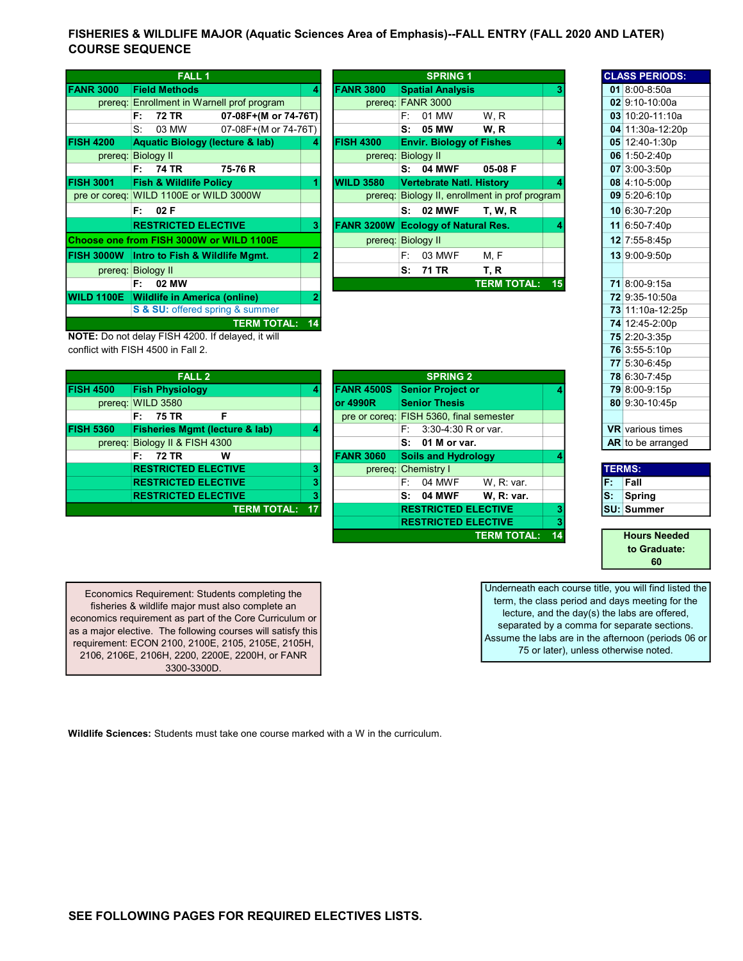## FISHERIES & WILDLIFE MAJOR (Aquatic Sciences Area of Emphasis)--FALL ENTRY (FALL 2020 AND LATER) COURSE SEQUENCE

|                   | <b>FALL 1</b>                              |                      |    |                   |                    |      | <b>SPRING 1</b>                 |                                                |    |  | <b>CLASS PERIODS:</b> |
|-------------------|--------------------------------------------|----------------------|----|-------------------|--------------------|------|---------------------------------|------------------------------------------------|----|--|-----------------------|
| <b>FANR 3000</b>  | <b>Field Methods</b>                       |                      | 4  | <b>FANR 3800</b>  |                    |      | <b>Spatial Analysis</b>         |                                                |    |  | 01 8:00-8:50a         |
| prereq:           | Enrollment in Warnell prof program         |                      |    |                   |                    |      | prereq: FANR 3000               |                                                |    |  | 02 9:10-10:00a        |
|                   | 72 TR<br>F:                                | 07-08F+(M or 74-76T) |    |                   |                    | F:   | 01 MW                           | W, R                                           |    |  | 03 10:20-11:10a       |
|                   | S.<br>03 MW                                | 07-08F+(M or 74-76T) |    |                   |                    | S:   | 05 MW                           | W.R                                            |    |  | 04 11:30a-12:20p      |
| <b>FISH 4200</b>  | <b>Aquatic Biology (lecture &amp; lab)</b> |                      |    | <b>FISH 4300</b>  |                    |      | <b>Envir. Biology of Fishes</b> |                                                |    |  | 05 12:40-1:30p        |
| prereq:           | <b>Biology II</b>                          |                      |    |                   | prereg: Biology II |      |                                 |                                                |    |  | 06 $1:50-2:40p$       |
|                   | 74 TR<br>F: I                              | 75-76 R              |    |                   |                    | S:   | <b>04 MWF</b>                   | 05-08 F                                        |    |  | 07 3:00-3:50p         |
| <b>FISH 3001</b>  | <b>Fish &amp; Wildlife Policy</b>          |                      |    | <b>WILD 3580</b>  |                    |      | <b>Vertebrate Natl. History</b> |                                                |    |  | 08 4:10-5:00p         |
|                   | pre or coreq: WILD 1100E or WILD 3000W     |                      |    |                   |                    |      |                                 | prereq: Biology II, enrollment in prof program |    |  | 09 5:20-6:10p         |
|                   | F: 02F                                     |                      |    |                   |                    |      | <b>S: 02 MWF</b>                | <b>T. W. R</b>                                 |    |  | 10 6:30-7:20p         |
|                   | <b>RESTRICTED ELECTIVE</b>                 |                      | 31 | <b>FANR 3200W</b> |                    |      | <b>Ecology of Natural Res.</b>  |                                                |    |  | 11 6:50-7:40p         |
|                   | Choose one from FISH 3000W or WILD 1100E   |                      |    |                   | prereq: Biology II |      |                                 |                                                |    |  | 12 7:55-8:45p         |
| <b>FISH 3000W</b> | Intro to Fish & Wildlife Mgmt.             |                      |    |                   |                    | F: I | 03 MWF                          | M.F                                            |    |  | 13 9:00-9:50p         |
|                   | prereg: Biology II                         |                      |    |                   |                    | s.   | 71 TR                           | T, R                                           |    |  |                       |
|                   | 02 MW<br>F:                                |                      |    |                   |                    |      |                                 | <b>TERM TOTAL:</b>                             | 15 |  | 71 8:00-9:15a         |
| <b>WILD 1100E</b> | <b>Wildlife in America (online)</b>        |                      |    |                   |                    |      |                                 |                                                |    |  | 72 9:35-10:50a        |
|                   | S & SU: offered spring & summer            |                      |    |                   |                    |      |                                 |                                                |    |  | 73 11:10a-12:25p      |
|                   |                                            | <b>TERM TOTAL:</b>   | 14 |                   |                    |      |                                 |                                                |    |  | 74 12:45-2:00p        |

|         | <b>FALL1</b>                                          |                      |    |                                           |                   | <b>SPRING 1</b>                 |                                        |    |  | <b>CLASS PERIODS:</b> |
|---------|-------------------------------------------------------|----------------------|----|-------------------------------------------|-------------------|---------------------------------|----------------------------------------|----|--|-----------------------|
| 3000    | <b>Field Methods</b>                                  |                      |    | <b>FANR 3800</b>                          |                   | <b>Spatial Analysis</b>         |                                        |    |  | 01 8:00-8:50a         |
|         | prereq: Enrollment in Warnell prof program            |                      |    | prereq: FANR 3000                         |                   |                                 |                                        |    |  | 02 9:10-10:00a        |
|         | 72 TR<br>F:                                           | 07-08F+(M or 74-76T) |    |                                           | F: I              | 01 MW                           | W.R                                    |    |  | 03 10:20-11:10a       |
|         | 03 MW<br>S.                                           | 07-08F+(M or 74-76T) |    |                                           |                   | S: 05 MW                        | W.R                                    |    |  | 04 11:30a-12:20p      |
| 200     | <b>Aquatic Biology (lecture &amp; lab)</b>            |                      | 4  | <b>FISH 4300</b>                          |                   | <b>Envir. Biology of Fishes</b> |                                        |    |  | 05 12:40-1:30p        |
| prereq: | <b>Biology II</b>                                     |                      |    | prereq:                                   | <b>Biology II</b> |                                 |                                        |    |  | 06 1:50-2:40p         |
|         | F: 74 TR                                              | 75-76 R              |    |                                           |                   | <b>S: 04 MWF</b>                | 05-08 F                                |    |  | 07 3:00-3:50p         |
| 001     | <b>Fish &amp; Wildlife Policy</b>                     |                      |    | <b>WILD 3580</b>                          |                   | <b>Vertebrate Natl. History</b> |                                        |    |  | 08 4:10-5:00p         |
|         | coreg: WILD 1100E or WILD 3000W                       |                      |    | prereq:                                   |                   |                                 | Biology II, enrollment in prof program |    |  | 09 5:20-6:10p         |
|         | F: 02F                                                |                      |    |                                           |                   | <b>S: 02 MWF</b>                | <b>T. W. R.</b>                        |    |  | 10 6:30-7:20p         |
|         | <b>RESTRICTED ELECTIVE</b>                            |                      | 3  | <b>FANR 3200W Ecology of Natural Res.</b> |                   |                                 |                                        |    |  | 11 6:50-7:40p         |
|         | e one from FISH 3000W or WILD 1100E                   |                      |    | prereg: Biology II                        |                   |                                 |                                        |    |  | 12 7:55-8:45p         |
|         | 000W Intro to Fish & Wildlife Mgmt.                   |                      |    |                                           | F: I              | 03 MWF                          | M, F                                   |    |  | 13 9:00-9:50p         |
|         | prereq: Biology II                                    |                      |    |                                           | s:                | 71 TR                           | T, R                                   |    |  |                       |
|         | 02 MW<br>F: .                                         |                      |    |                                           |                   |                                 | <b>TERM TOTAL:</b>                     | 15 |  | 71 8:00-9:15a         |
|         | $1400E$ $\blacksquare$ $Mildlifa$ in America (enline) |                      | o. |                                           |                   |                                 |                                        |    |  | 720.3510.502          |

|    | <b>CLASS PERIODS:</b>   |  |  |  |  |  |  |
|----|-------------------------|--|--|--|--|--|--|
|    | $018:00-8:50a$          |  |  |  |  |  |  |
|    | 02 9:10-10:00a          |  |  |  |  |  |  |
|    | 03 10:20-11:10a         |  |  |  |  |  |  |
|    | 04 11:30a-12:20p        |  |  |  |  |  |  |
|    | 05 12:40-1:30p          |  |  |  |  |  |  |
|    | 06 1:50-2:40p           |  |  |  |  |  |  |
|    | 07 3:00-3:50p           |  |  |  |  |  |  |
|    | 08 4:10-5:00p           |  |  |  |  |  |  |
|    | 09 5:20-6:10p           |  |  |  |  |  |  |
|    | 10 6:30-7:20p           |  |  |  |  |  |  |
| 11 | $6:50 - 7:40p$          |  |  |  |  |  |  |
|    | 12 7:55-8:45p           |  |  |  |  |  |  |
|    | 13 9:00-9:50p           |  |  |  |  |  |  |
|    |                         |  |  |  |  |  |  |
|    | 71 8:00-9:15a           |  |  |  |  |  |  |
|    | 72 9:35-10:50a          |  |  |  |  |  |  |
|    | 73 11:10a-12:25p        |  |  |  |  |  |  |
|    | 74 12:45-2:00p          |  |  |  |  |  |  |
|    | 75 2:20-3:35p           |  |  |  |  |  |  |
|    | 76 3:55-5:10p           |  |  |  |  |  |  |
|    | 77 5:30-6:45p           |  |  |  |  |  |  |
|    | 78 6:30-7:45p           |  |  |  |  |  |  |
|    | 79 8:00-9:15p           |  |  |  |  |  |  |
|    | 80 9:30-10:45p          |  |  |  |  |  |  |
|    |                         |  |  |  |  |  |  |
|    | <b>VR</b> various times |  |  |  |  |  |  |
|    | AR to be arranged       |  |  |  |  |  |  |

| <b>TERMS:</b> |                   |  |  |  |  |  |  |
|---------------|-------------------|--|--|--|--|--|--|
|               | Fall              |  |  |  |  |  |  |
|               | Spring            |  |  |  |  |  |  |
|               | <b>SU: Summer</b> |  |  |  |  |  |  |

Hours Needed to Graduate: 60

Underneath each course title, you will find listed the term, the class period and days meeting for the lecture, and the day(s) the labs are offered, separated by a comma for separate sections. Assume the labs are in the afternoon (periods 06 or 75 or later), unless otherwise noted.

NOTE: Do not delay FISH 4200. If delayed, it will conflict with FISH 4500 in Fall 2.

FISH 4500 Fish Physiology **Annual 2018** prereq: WILD 3580  $F: 75 TR$  F FISH 5360 Fisheries Mgmt (lecture & lab) 4 prereq: Biology II & FISH 4300 F:  $72 TR$  W RESTRICTED ELECTIVE **3 3** RESTRICTED ELECTIVE **3** RESTRICTED ELECTIVE **3 TERM TOTAL: 17** FALL<sub>2</sub>

| <b>SPRING 2</b>                         |    |                            |                    |    |  |  |  |
|-----------------------------------------|----|----------------------------|--------------------|----|--|--|--|
| <b>FANR 4500S</b>                       |    | <b>Senior Project or</b>   |                    |    |  |  |  |
| or 4990R                                |    | <b>Senior Thesis</b>       |                    |    |  |  |  |
| pre or coreg: FISH 5360, final semester |    |                            |                    |    |  |  |  |
|                                         |    | $F: 3:30-4:30 R$ or var.   |                    |    |  |  |  |
|                                         |    | $S: 01$ M or var.          |                    |    |  |  |  |
| <b>FANR 3060</b>                        |    | <b>Soils and Hydrology</b> |                    |    |  |  |  |
| prereg: Chemistry I                     |    |                            |                    |    |  |  |  |
|                                         | F. | 04 MWF                     | W. R: var.         |    |  |  |  |
|                                         |    | $S: 04$ MWF                | W. R: var.         |    |  |  |  |
|                                         |    | <b>RESTRICTED ELECTIVE</b> |                    | 3  |  |  |  |
|                                         |    | <b>RESTRICTED ELECTIVE</b> |                    | 3  |  |  |  |
|                                         |    |                            | <b>TERM TOTAL:</b> | 14 |  |  |  |

Economics Requirement: Students completing the fisheries & wildlife major must also complete an economics requirement as part of the Core Curriculum or as a major elective. The following courses will satisfy this requirement: ECON 2100, 2100E, 2105, 2105E, 2105H, 2106, 2106E, 2106H, 2200, 2200E, 2200H, or FANR 3300-3300D.

Wildlife Sciences: Students must take one course marked with a W in the curriculum.